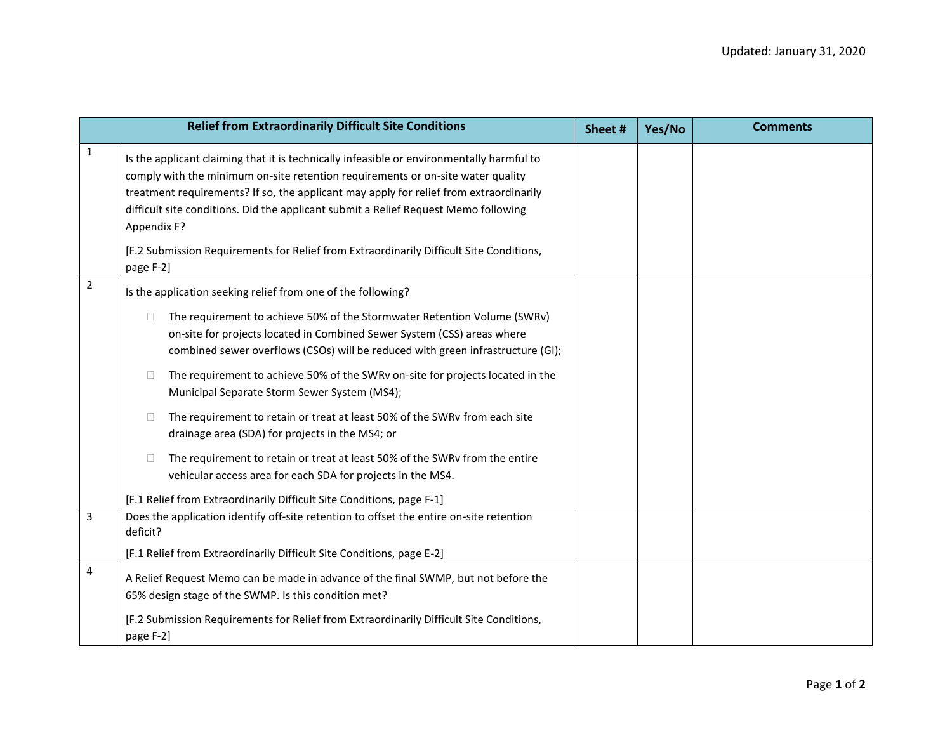| <b>Relief from Extraordinarily Difficult Site Conditions</b> |                                                                                                                                                                                                                                                                                                                                                                                                                                                                                      |  | Yes/No | <b>Comments</b> |
|--------------------------------------------------------------|--------------------------------------------------------------------------------------------------------------------------------------------------------------------------------------------------------------------------------------------------------------------------------------------------------------------------------------------------------------------------------------------------------------------------------------------------------------------------------------|--|--------|-----------------|
| 1                                                            | Is the applicant claiming that it is technically infeasible or environmentally harmful to<br>comply with the minimum on-site retention requirements or on-site water quality<br>treatment requirements? If so, the applicant may apply for relief from extraordinarily<br>difficult site conditions. Did the applicant submit a Relief Request Memo following<br>Appendix F?<br>[F.2 Submission Requirements for Relief from Extraordinarily Difficult Site Conditions,<br>page F-2] |  |        |                 |
| $\overline{2}$                                               | Is the application seeking relief from one of the following?                                                                                                                                                                                                                                                                                                                                                                                                                         |  |        |                 |
|                                                              | The requirement to achieve 50% of the Stormwater Retention Volume (SWRv)<br>$\Box$<br>on-site for projects located in Combined Sewer System (CSS) areas where<br>combined sewer overflows (CSOs) will be reduced with green infrastructure (GI);                                                                                                                                                                                                                                     |  |        |                 |
|                                                              | The requirement to achieve 50% of the SWRv on-site for projects located in the<br>□<br>Municipal Separate Storm Sewer System (MS4);                                                                                                                                                                                                                                                                                                                                                  |  |        |                 |
|                                                              | The requirement to retain or treat at least 50% of the SWRv from each site<br>$\Box$<br>drainage area (SDA) for projects in the MS4; or                                                                                                                                                                                                                                                                                                                                              |  |        |                 |
|                                                              | The requirement to retain or treat at least 50% of the SWRv from the entire<br>□<br>vehicular access area for each SDA for projects in the MS4.                                                                                                                                                                                                                                                                                                                                      |  |        |                 |
|                                                              | [F.1 Relief from Extraordinarily Difficult Site Conditions, page F-1]                                                                                                                                                                                                                                                                                                                                                                                                                |  |        |                 |
| 3                                                            | Does the application identify off-site retention to offset the entire on-site retention<br>deficit?                                                                                                                                                                                                                                                                                                                                                                                  |  |        |                 |
|                                                              | [F.1 Relief from Extraordinarily Difficult Site Conditions, page E-2]                                                                                                                                                                                                                                                                                                                                                                                                                |  |        |                 |
| 4                                                            | A Relief Request Memo can be made in advance of the final SWMP, but not before the<br>65% design stage of the SWMP. Is this condition met?                                                                                                                                                                                                                                                                                                                                           |  |        |                 |
|                                                              | [F.2 Submission Requirements for Relief from Extraordinarily Difficult Site Conditions,<br>page F-2]                                                                                                                                                                                                                                                                                                                                                                                 |  |        |                 |